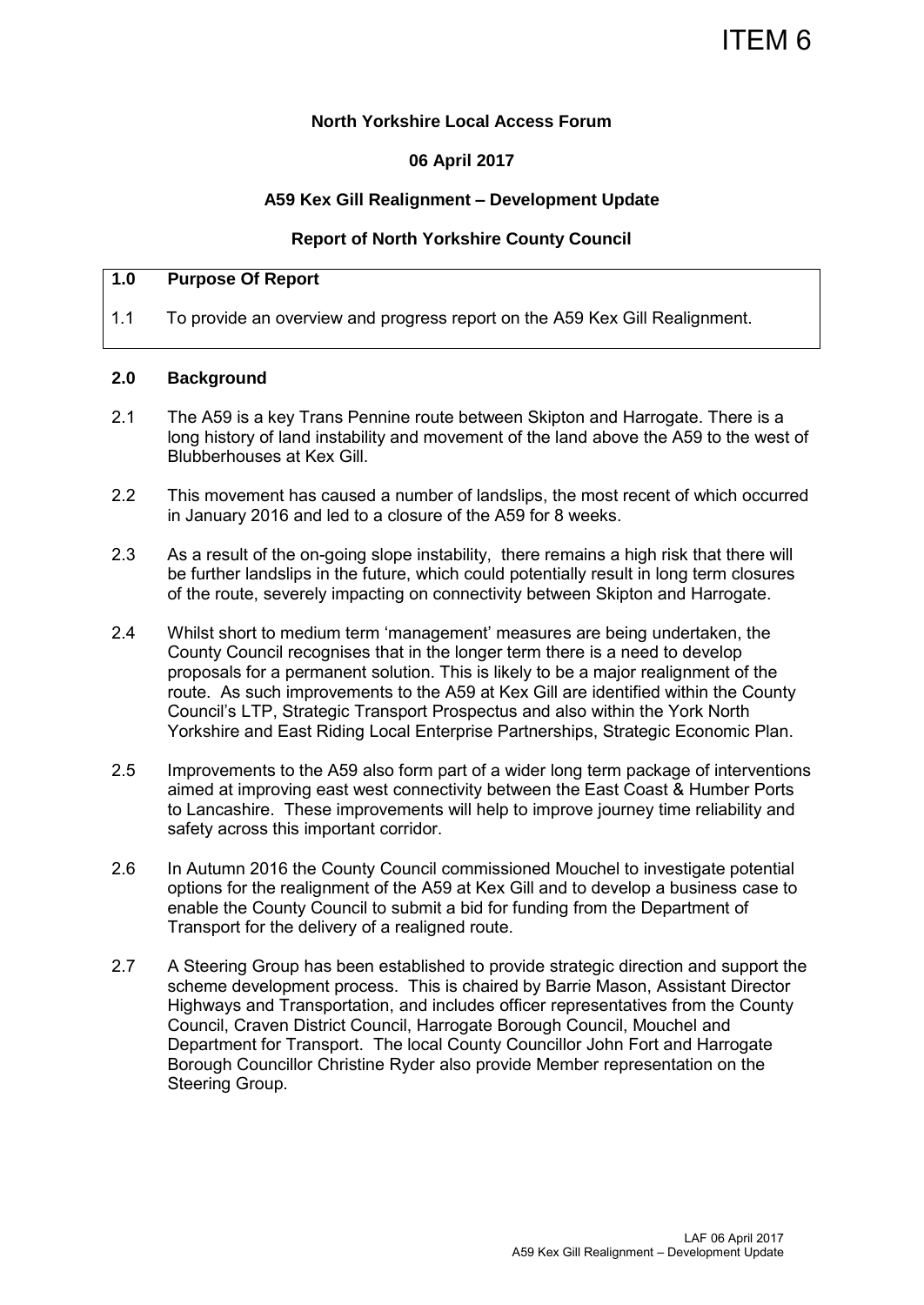### **North Yorkshire Local Access Forum**

### **06 April 2017**

#### **A59 Kex Gill Realignment – Development Update**

#### **Report of North Yorkshire County Council**

#### **1.0 Purpose Of Report**

1.1 To provide an overview and progress report on the A59 Kex Gill Realignment.

#### **2.0 Background**

- 2.1 The A59 is a key Trans Pennine route between Skipton and Harrogate. There is a long history of land instability and movement of the land above the A59 to the west of Blubberhouses at Kex Gill.
- 2.2 This movement has caused a number of landslips, the most recent of which occurred in January 2016 and led to a closure of the A59 for 8 weeks.
- 2.3 As a result of the on-going slope instability, there remains a high risk that there will be further landslips in the future, which could potentially result in long term closures of the route, severely impacting on connectivity between Skipton and Harrogate.
- 2.4 Whilst short to medium term 'management' measures are being undertaken, the County Council recognises that in the longer term there is a need to develop proposals for a permanent solution. This is likely to be a major realignment of the route. As such improvements to the A59 at Kex Gill are identified within the County Council's LTP, Strategic Transport Prospectus and also within the York North Yorkshire and East Riding Local Enterprise Partnerships, Strategic Economic Plan.
- 2.5 Improvements to the A59 also form part of a wider long term package of interventions aimed at improving east west connectivity between the East Coast & Humber Ports to Lancashire. These improvements will help to improve journey time reliability and safety across this important corridor.
- 2.6 In Autumn 2016 the County Council commissioned Mouchel to investigate potential options for the realignment of the A59 at Kex Gill and to develop a business case to enable the County Council to submit a bid for funding from the Department of Transport for the delivery of a realigned route.
- 2.7 A Steering Group has been established to provide strategic direction and support the scheme development process. This is chaired by Barrie Mason, Assistant Director Highways and Transportation, and includes officer representatives from the County Council, Craven District Council, Harrogate Borough Council, Mouchel and Department for Transport. The local County Councillor John Fort and Harrogate Borough Councillor Christine Ryder also provide Member representation on the Steering Group.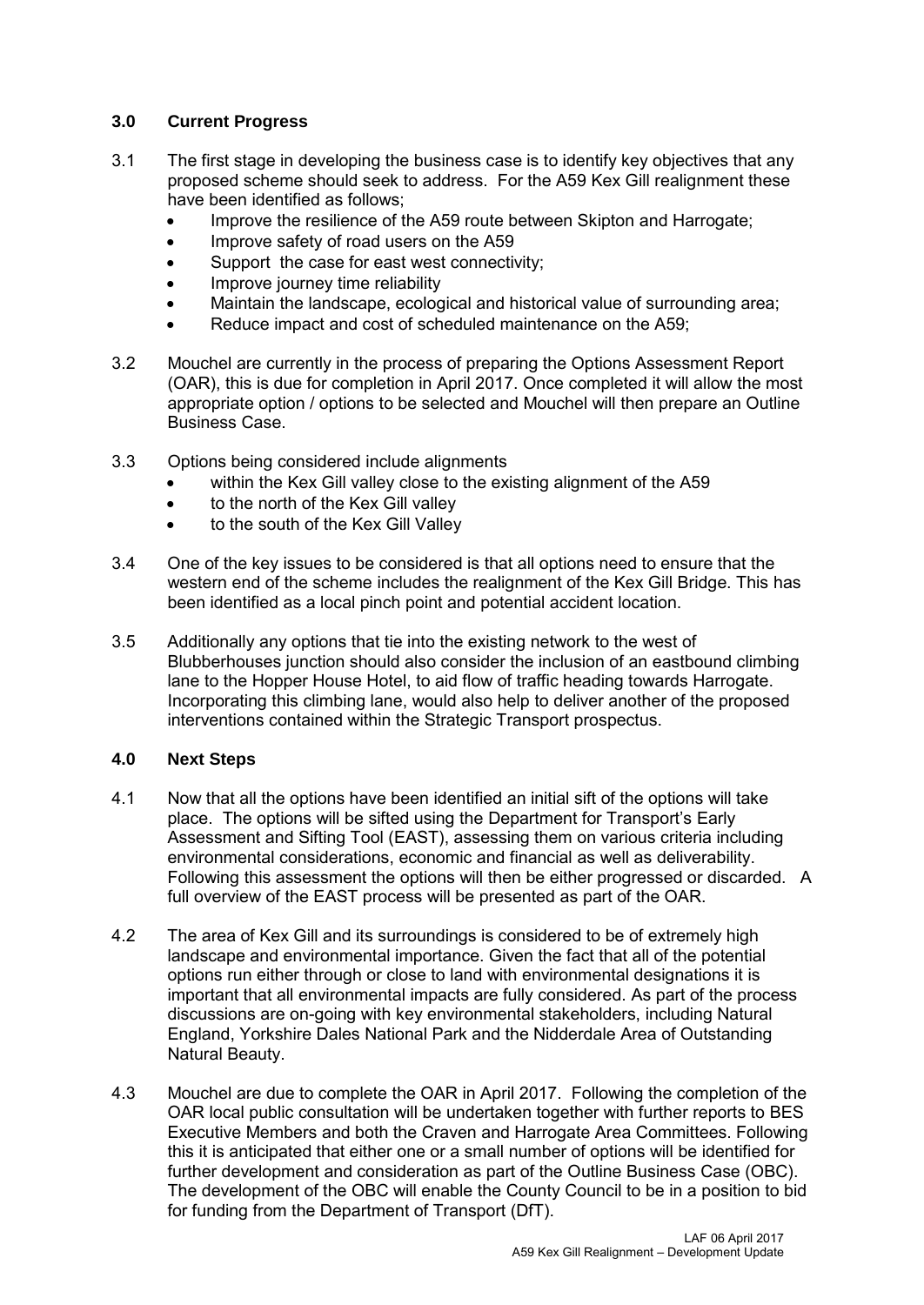## **3.0 Current Progress**

- 3.1 The first stage in developing the business case is to identify key objectives that any proposed scheme should seek to address. For the A59 Kex Gill realignment these have been identified as follows;
	- Improve the resilience of the A59 route between Skipton and Harrogate;
	- Improve safety of road users on the A59
	- Support the case for east west connectivity;
	- Improve journey time reliability
	- Maintain the landscape, ecological and historical value of surrounding area;
	- Reduce impact and cost of scheduled maintenance on the A59;
- 3.2 Mouchel are currently in the process of preparing the Options Assessment Report (OAR), this is due for completion in April 2017. Once completed it will allow the most appropriate option / options to be selected and Mouchel will then prepare an Outline Business Case.
- 3.3 Options being considered include alignments
	- within the Kex Gill valley close to the existing alignment of the A59
	- to the north of the Kex Gill valley
	- to the south of the Kex Gill Valley
- 3.4 One of the key issues to be considered is that all options need to ensure that the western end of the scheme includes the realignment of the Kex Gill Bridge. This has been identified as a local pinch point and potential accident location.
- 3.5 Additionally any options that tie into the existing network to the west of Blubberhouses junction should also consider the inclusion of an eastbound climbing lane to the Hopper House Hotel, to aid flow of traffic heading towards Harrogate. Incorporating this climbing lane, would also help to deliver another of the proposed interventions contained within the Strategic Transport prospectus.

# **4.0 Next Steps**

- 4.1 Now that all the options have been identified an initial sift of the options will take place. The options will be sifted using the Department for Transport's Early Assessment and Sifting Tool (EAST), assessing them on various criteria including environmental considerations, economic and financial as well as deliverability. Following this assessment the options will then be either progressed or discarded. A full overview of the EAST process will be presented as part of the OAR.
- 4.2 The area of Kex Gill and its surroundings is considered to be of extremely high landscape and environmental importance. Given the fact that all of the potential options run either through or close to land with environmental designations it is important that all environmental impacts are fully considered. As part of the process discussions are on-going with key environmental stakeholders, including Natural England, Yorkshire Dales National Park and the Nidderdale Area of Outstanding Natural Beauty.
- 4.3 Mouchel are due to complete the OAR in April 2017. Following the completion of the OAR local public consultation will be undertaken together with further reports to BES Executive Members and both the Craven and Harrogate Area Committees. Following this it is anticipated that either one or a small number of options will be identified for further development and consideration as part of the Outline Business Case (OBC). The development of the OBC will enable the County Council to be in a position to bid for funding from the Department of Transport (DfT).